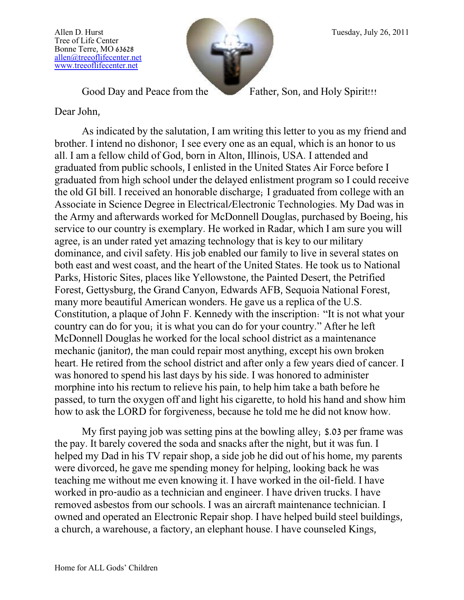Tree of Life Center Bonne Terre, MO 63628 [allen@treeoflifecenter.net](mailto:allen@treeoflifecenter.net) [www.treeoflifecenter.net](http://www.treeoflifecenter.net/)



Good Day and Peace from the Father, Son, and Holy Spirit!!!

Dear John,

As indicated by the salutation, I am writing this letter to you as my friend and brother. I intend no dishonor; I see every one as an equal, which is an honor to us all. I am a fellow child of God, born in Alton, Illinois, USA. I attended and graduated from public schools, I enlisted in the United States Air Force before I graduated from high school under the delayed enlistment program so I could receive the old GI bill. I received an honorable discharge; I graduated from college with an Associate in Science Degree in Electrical/Electronic Technologies. My Dad was in the Army and afterwards worked for McDonnell Douglas, purchased by Boeing, his service to our country is exemplary. He worked in Radar, which I am sure you will agree, is an under rated yet amazing technology that is key to our military dominance, and civil safety. His job enabled our family to live in several states on both east and west coast, and the heart of the United States. He took us to National Parks, Historic Sites, places like Yellowstone, the Painted Desert, the Petrified Forest, Gettysburg, the Grand Canyon, Edwards AFB, Sequoia National Forest, many more beautiful American wonders. He gave us a replica of the U.S. Constitution, a plaque of John F. Kennedy with the inscription: "It is not what your country can do for you; it is what you can do for your country." After he left McDonnell Douglas he worked for the local school district as a maintenance mechanic (janitor), the man could repair most anything, except his own broken heart. He retired from the school district and after only a few years died of cancer. I was honored to spend his last days by his side. I was honored to administer morphine into his rectum to relieve his pain, to help him take a bath before he passed, to turn the oxygen off and light his cigarette, to hold his hand and show him how to ask the LORD for forgiveness, because he told me he did not know how.

My first paying job was setting pins at the bowling alley; \$.03 per frame was the pay. It barely covered the soda and snacks after the night, but it was fun. I helped my Dad in his TV repair shop, a side job he did out of his home, my parents were divorced, he gave me spending money for helping, looking back he was teaching me without me even knowing it. I have worked in the oil-field. I have worked in pro-audio as a technician and engineer. I have driven trucks. I have removed asbestos from our schools. I was an aircraft maintenance technician. I owned and operated an Electronic Repair shop. I have helped build steel buildings, a church, a warehouse, a factory, an elephant house. I have counseled Kings,